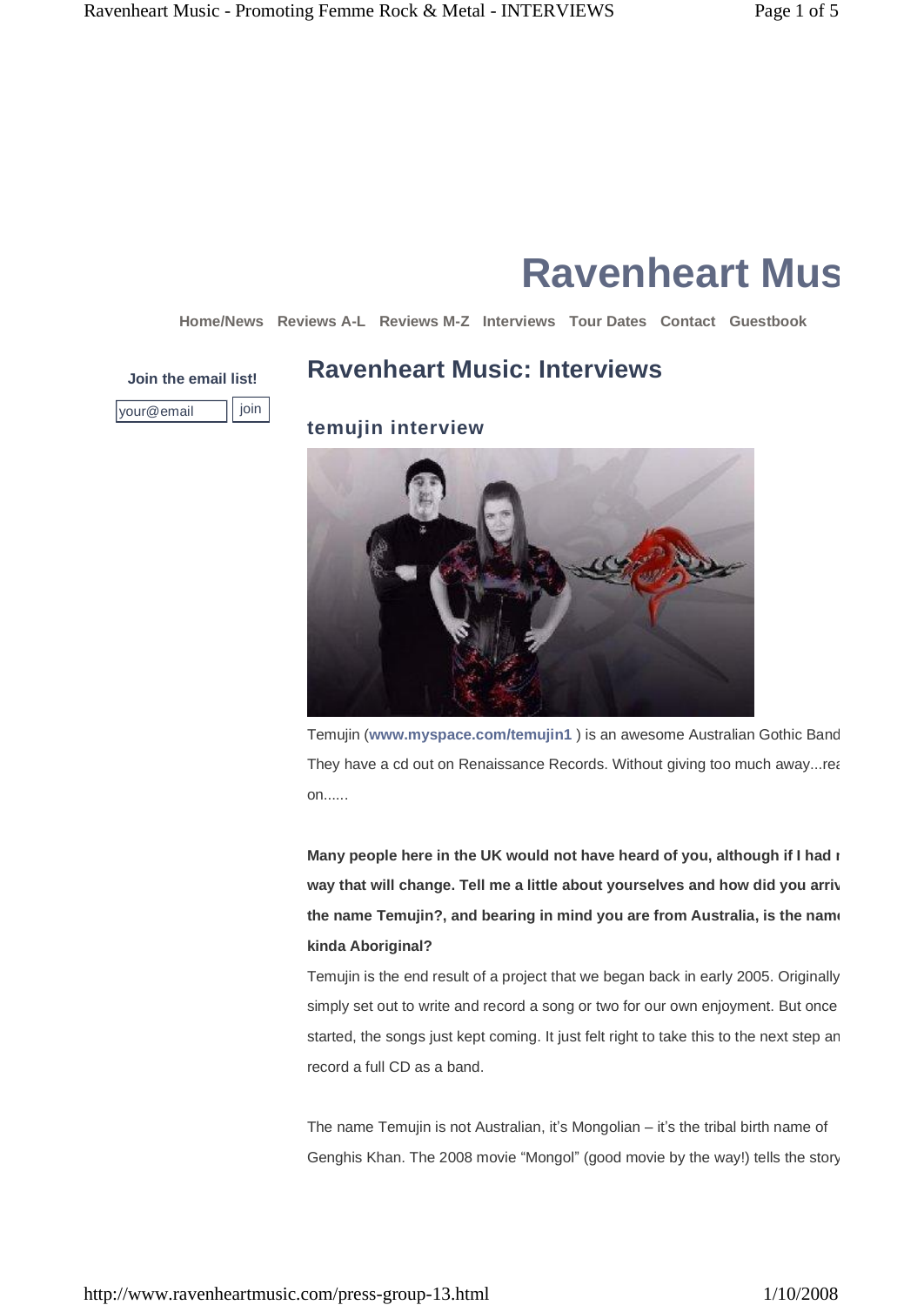# **Ravenheart Music**

**Home/News Reviews A-L Reviews M-Z Interviews Tour Dates Contact Guestbook**

## **Join the email list! Ravenheart Music: Interviews**

| @email |  |  |
|--------|--|--|

**temujin interview**



Temujin (www.myspace.com/temujin1) is an awesome Australian Gothic Band They have a cd out on Renaissance Records. Without giving too much away...rea on......

**Many people here in the UK would not have heard of you, although ifI had my way that will change. Tell me a little about yourselves and how did you arrive at the name Temujin?, and bearing in mind you are from Australia, is the name kinda Aboriginal?**

Temujin is the end result of a project that we began back in early 2005. Originally simply set out to write and record a song or two for our own enjoyment. But once started, the songs just kept coming. It just felt right to take this to the next step an record a full CD as a band.

The name Temujin is not Australian, it's Mongolian - it's the tribal birth name of Genghis Khan. The 2008 movie "Mongol" (good movie by the way!) tells the story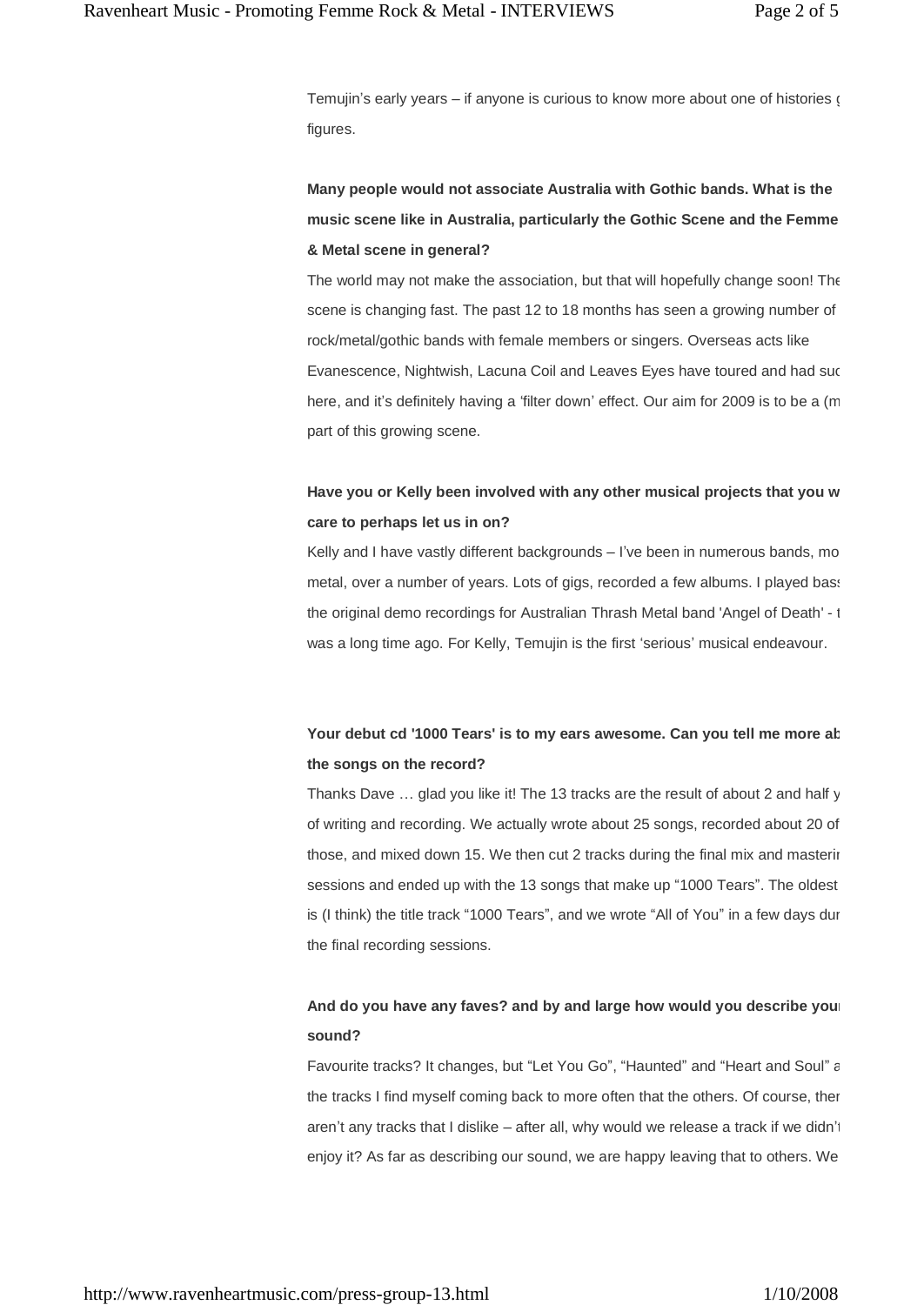Temujin's early years  $-$  if anyone is curious to know more about one of histories  $\alpha$ figures.

**Many people would not associate Australia with Gothic bands. What is the music** scene like in Australia, particularly the Gothic Scene and the Femme **& Metal scene in general?**

The world may not make the association, but that will hopefully change soon! The scene is changing fast. The past 12 to 18 months has seen a growing number of rock/metal/gothic bands with female members or singers. Overseas acts like Evanescence, Nightwish, Lacuna Coil and Leaves Eyes have toured and had suc here, and it's definitely having a 'filter down' effect. Our aim for 2009 is to be a (m part of this growing scene.

### **Have you or Kelly been involved with any other musical projects that you would care to perhaps let us in on?**

Kelly and I have vastly different backgrounds – I've been in numerous bands, mo metal, over a number of years. Lots of gigs, recorded a few albums. I played bass the original demo recordings for Australian Thrash Metal band 'Angel of Death' - 1 was a long time ago. For Kelly, Temujin is the first 'serious' musical endeavour.

### **Your debut cd '1000 Tears' is to my ears awesome. Can you tell me more about the songs on the record?**

Thanks Dave  $\ldots$  glad you like it! The 13 tracks are the result of about 2 and half y of writing and recording. We actually wrote about 25 songs, recorded about 20 of those, and mixed down 15. We then cut 2 tracks during the final mix and mastering sessions and ended up with the 13 songs that make up "1000 Tears". The oldest is (I think) the title track "1000 Tears", and we wrote "All of You" in a few days during the final recording sessions.

### **And do you have any faves? and by and large how would you describe your sound?**

Favourite tracks? It changes, but "Let You Go", "Haunted" and "Heart and Soul" are the tracks I find myself coming back to more often that the others. Of course, ther aren't any tracks that I dislike  $-$  after all, why would we release a track if we didn't enjoy it? As far as describing our sound, we are happy leaving that to others. We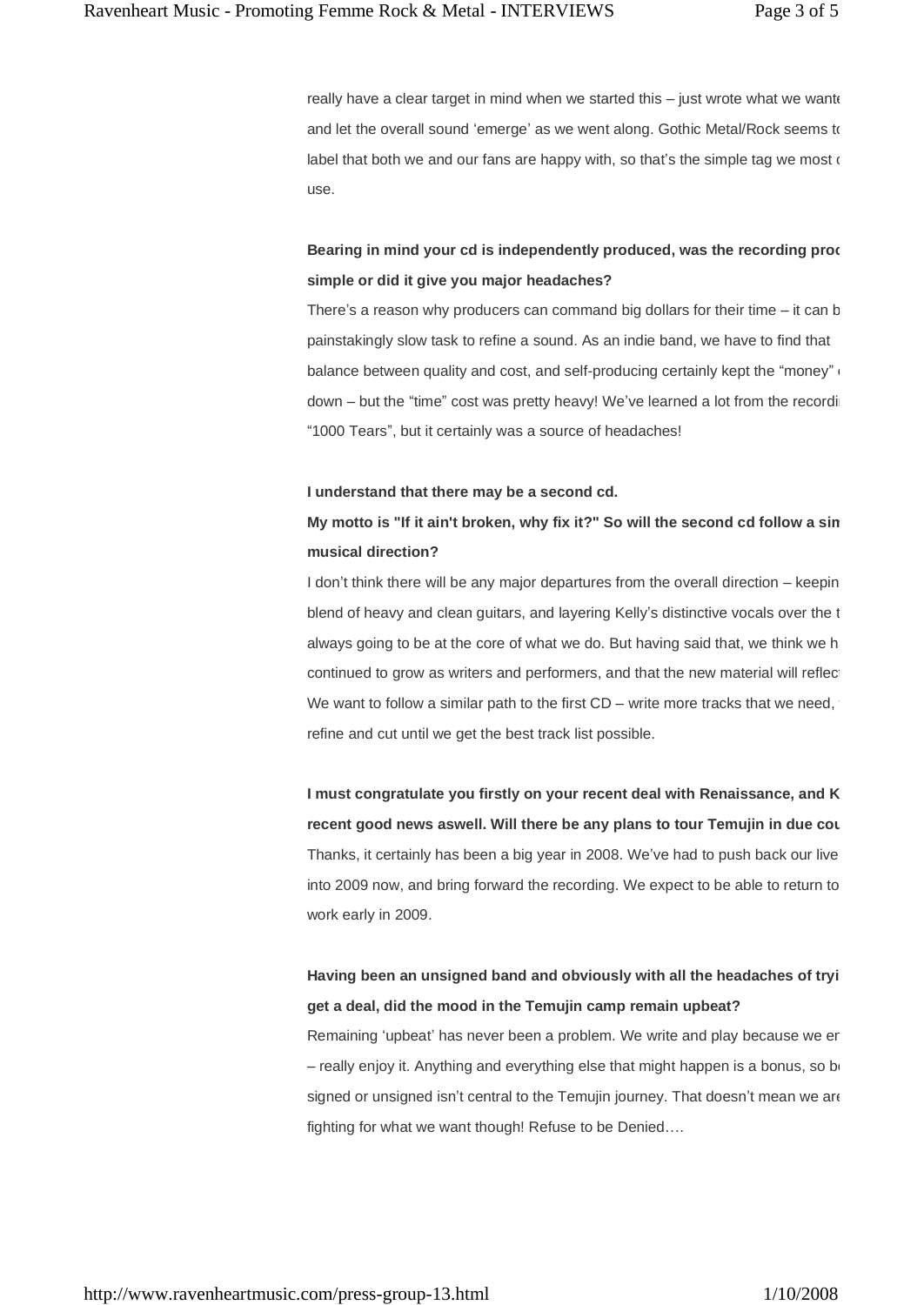really have a clear target in mind when we started this  $-$  just wrote what we wante and let the overall sound 'emerge' as we went along. Gothic Metal/Rock seems to label that both we and our fans are happy with, so that's the simple tag we most  $\epsilon$ use.

### **Bearing in mind your cd is independently produced, was the recording process simple or did itgive you major headaches?**

There's a reason why producers can command big dollars for their time  $-$  it can b painstakingly slow task to refine a sound. As an indie band, we have to find that balance between quality and cost, and self-producing certainly kept the "money" $\cdot$ down – but the "time" cost was pretty heavy! We've learned a lot from the recording "1000 Tears", but it certainly was a source of headaches!

#### **I understand that there may be a second cd.**

### **My motto is "If it ain't broken, why fix it?" So will the second cd follow a similar musical direction?**

I don't think there will be any major departures from the overall direction – keepin blend of heavy and clean quitars, and layering Kelly's distinctive vocals over the t always going to be at the core of what we do. But having said that, we think we h continued to grow as writers and performers, and that the new material will reflec We want to follow a similar path to the first  $CD -$  write more tracks that we need, refine and cut until we get the best track list possible.

**I** must congratulate you firstly on your recent deal with Renaissance, and K **recent** good news aswell. Will there be any plans to tour Temujin in due cou Thanks, it certainly has been a big year in 2008. We've had to push back our live into 2009 now, and bring forward the recording. We expect to be able to return to work early in 2009.

### **Having been an unsigned band and obviously with all the headaches of trying to get a deal, did the mood in the Temujin camp remain upbeat?**

Remaining 'upbeat' has never been a problem. We write and play because we er  $-$  really enjoy it. Anything and everything else that might happen is a bonus, so being signed or unsigned isn't central to the Temujin journey. That doesn't mean we are fighting for what we want though! Refuse to be Denied....